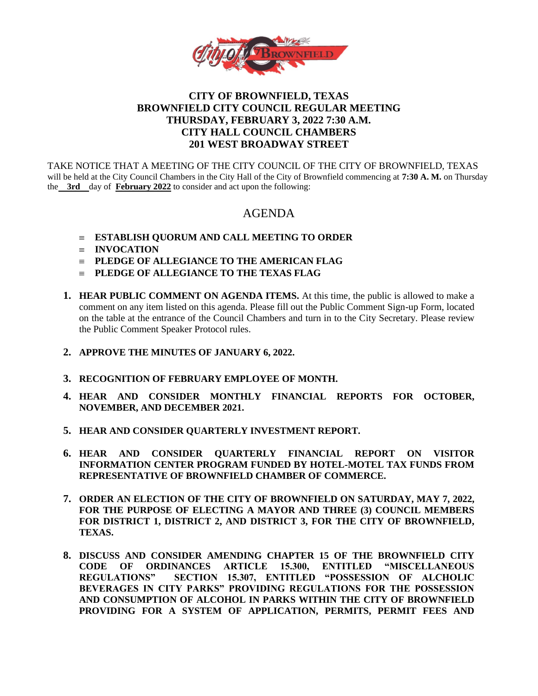

## **CITY OF BROWNFIELD, TEXAS BROWNFIELD CITY COUNCIL REGULAR MEETING THURSDAY, FEBRUARY 3, 2022 7:30 A.M. CITY HALL COUNCIL CHAMBERS 201 WEST BROADWAY STREET**

TAKE NOTICE THAT A MEETING OF THE CITY COUNCIL OF THE CITY OF BROWNFIELD, TEXAS will be held at the City Council Chambers in the City Hall of the City of Brownfield commencing at **7:30 A. M.** on Thursday the **3rd** day of **February 2022** to consider and act upon the following:

# AGENDA

- **ESTABLISH QUORUM AND CALL MEETING TO ORDER**
- $\equiv$  **INVOCATION**
- **PLEDGE OF ALLEGIANCE TO THE AMERICAN FLAG**
- **PLEDGE OF ALLEGIANCE TO THE TEXAS FLAG**
- **1. HEAR PUBLIC COMMENT ON AGENDA ITEMS.** At this time, the public is allowed to make a comment on any item listed on this agenda. Please fill out the Public Comment Sign-up Form, located on the table at the entrance of the Council Chambers and turn in to the City Secretary. Please review the Public Comment Speaker Protocol rules.
- **2. APPROVE THE MINUTES OF JANUARY 6, 2022.**
- **3. RECOGNITION OF FEBRUARY EMPLOYEE OF MONTH.**
- **4. HEAR AND CONSIDER MONTHLY FINANCIAL REPORTS FOR OCTOBER, NOVEMBER, AND DECEMBER 2021.**
- **5. HEAR AND CONSIDER QUARTERLY INVESTMENT REPORT.**
- **6. HEAR AND CONSIDER QUARTERLY FINANCIAL REPORT ON VISITOR INFORMATION CENTER PROGRAM FUNDED BY HOTEL-MOTEL TAX FUNDS FROM REPRESENTATIVE OF BROWNFIELD CHAMBER OF COMMERCE.**
- **7. ORDER AN ELECTION OF THE CITY OF BROWNFIELD ON SATURDAY, MAY 7, 2022, FOR THE PURPOSE OF ELECTING A MAYOR AND THREE (3) COUNCIL MEMBERS FOR DISTRICT 1, DISTRICT 2, AND DISTRICT 3, FOR THE CITY OF BROWNFIELD, TEXAS.**
- **8. DISCUSS AND CONSIDER AMENDING CHAPTER 15 OF THE BROWNFIELD CITY CODE OF ORDINANCES ARTICLE 15.300, ENTITLED "MISCELLANEOUS REGULATIONS" SECTION 15.307, ENTITLED "POSSESSION OF ALCHOLIC BEVERAGES IN CITY PARKS" PROVIDING REGULATIONS FOR THE POSSESSION AND CONSUMPTION OF ALCOHOL IN PARKS WITHIN THE CITY OF BROWNFIELD PROVIDING FOR A SYSTEM OF APPLICATION, PERMITS, PERMIT FEES AND**